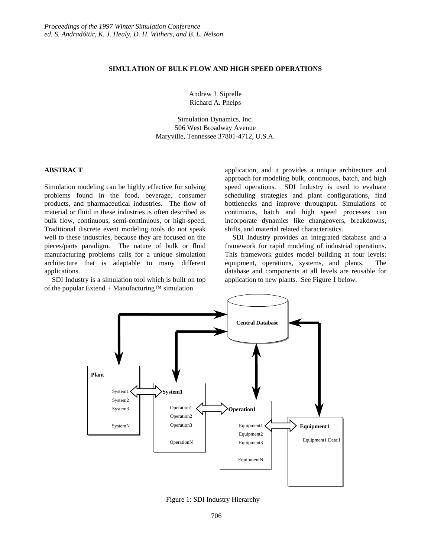# **SIMULATION OF BULK FLOW AND HIGH SPEED OPERATIONS**

Andrew J. Siprelle Richard A. Phelps

Simulation Dynamics, Inc. 506 West Broadway Avenue Maryville, Tennessee 37801-4712, U.S.A.

# **ABSTRACT**

Simulation modeling can be highly effective for solving problems found in the food, beverage, consumer products, and pharmaceutical industries. The flow of material or fluid in these industries is often described as bulk flow, continuous, semi-continuous, or high-speed. Traditional discrete event modeling tools do not speak well to these industries, because they are focused on the pieces/parts paradigm. The nature of bulk or fluid manufacturing problems calls for a unique simulation architecture that is adaptable to many different applications.

SDI Industry is a simulation tool which is built on top of the popular Extend + Manufacturing<sup>™</sup> simulation

application, and it provides a unique architecture and approach for modeling bulk, continuous, batch, and high speed operations. SDI Industry is used to evaluate scheduling strategies and plant configurations, find bottlenecks and improve throughput. Simulations of continuous, batch and high speed processes can incorporate dynamics like changeovers, breakdowns, shifts, and material related characteristics.

SDI Industry provides an integrated database and a framework for rapid modeling of industrial operations. This framework guides model building at four levels: equipment, operations, systems, and plants. The database and components at all levels are reusable for application to new plants. See Figure 1 below.



Figure 1: SDI Industry Hierarchy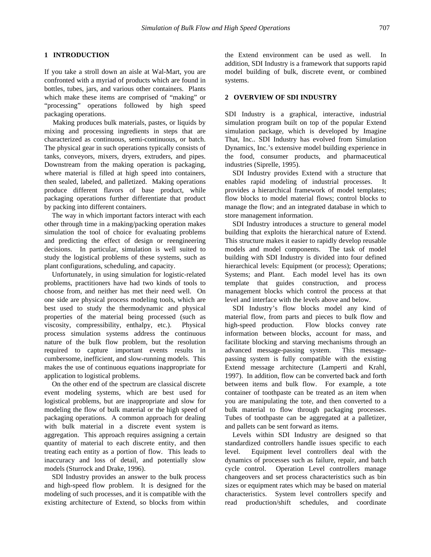### **1 INTRODUCTION**

If you take a stroll down an aisle at Wal-Mart, you are confronted with a myriad of products which are found in bottles, tubes, jars, and various other containers. Plants which make these items are comprised of "making" or "processing" operations followed by high speed packaging operations.

 Making produces bulk materials, pastes, or liquids by mixing and processing ingredients in steps that are characterized as continuous, semi-continuous, or batch. The physical gear in such operations typically consists of tanks, conveyors, mixers, dryers, extruders, and pipes. Downstream from the making operation is packaging, where material is filled at high speed into containers, then sealed, labeled, and palletized. Making operations produce different flavors of base product, while packaging operations further differentiate that product by packing into different containers.

The way in which important factors interact with each other through time in a making/packing operation makes simulation the tool of choice for evaluating problems and predicting the effect of design or reengineering decisions. In particular, simulation is well suited to study the logistical problems of these systems, such as plant configurations, scheduling, and capacity.

Unfortunately, in using simulation for logistic-related problems, practitioners have had two kinds of tools to choose from, and neither has met their need well. On one side are physical process modeling tools, which are best used to study the thermodynamic and physical properties of the material being processed (such as viscosity, compressibility, enthalpy, etc.). Physical process simulation systems address the continuous nature of the bulk flow problem, but the resolution required to capture important events results in cumbersome, inefficient, and slow-running models. This makes the use of continuous equations inappropriate for application to logistical problems.

On the other end of the spectrum are classical discrete event modeling systems, which are best used for logistical problems, but are inappropriate and slow for modeling the flow of bulk material or the high speed of packaging operations. A common approach for dealing with bulk material in a discrete event system is aggregation. This approach requires assigning a certain quantity of material to each discrete entity, and then treating each entity as a portion of flow. This leads to inaccuracy and loss of detail, and potentially slow models (Sturrock and Drake, 1996).

SDI Industry provides an answer to the bulk process and high-speed flow problem. It is designed for the modeling of such processes, and it is compatible with the existing architecture of Extend, so blocks from within the Extend environment can be used as well. In addition, SDI Industry is a framework that supports rapid model building of bulk, discrete event, or combined systems.

## **2 OVERVIEW OF SDI INDUSTRY**

SDI Industry is a graphical, interactive, industrial simulation program built on top of the popular Extend simulation package, which is developed by Imagine That, Inc.. SDI Industry has evolved from Simulation Dynamics, Inc.'s extensive model building experience in the food, consumer products, and pharmaceutical industries (Siprelle, 1995).

SDI Industry provides Extend with a structure that enables rapid modeling of industrial processes. It provides a hierarchical framework of model templates; flow blocks to model material flows; control blocks to manage the flow; and an integrated database in which to store management information.

SDI Industry introduces a structure to general model building that exploits the hierarchical nature of Extend. This structure makes it easier to rapidly develop reusable models and model components. The task of model building with SDI Industry is divided into four defined hierarchical levels: Equipment (or process); Operations; Systems; and Plant. Each model level has its own template that guides construction, and process management blocks which control the process at that level and interface with the levels above and below.

SDI Industry's flow blocks model any kind of material flow, from parts and pieces to bulk flow and high-speed production. Flow blocks convey rate information between blocks, account for mass, and facilitate blocking and starving mechanisms through an advanced message-passing system. This messagepassing system is fully compatible with the existing Extend message architecture (Lamperti and Krahl, 1997). In addition, flow can be converted back and forth between items and bulk flow. For example, a tote container of toothpaste can be treated as an item when you are manipulating the tote, and then converted to a bulk material to flow through packaging processes. Tubes of toothpaste can be aggregated at a palletizer, and pallets can be sent forward as items.

Levels within SDI Industry are designed so that standardized controllers handle issues specific to each level. Equipment level controllers deal with the dynamics of processes such as failure, repair, and batch cycle control. Operation Level controllers manage changeovers and set process characteristics such as bin sizes or equipment rates which may be based on material characteristics. System level controllers specify and read production/shift schedules, and coordinate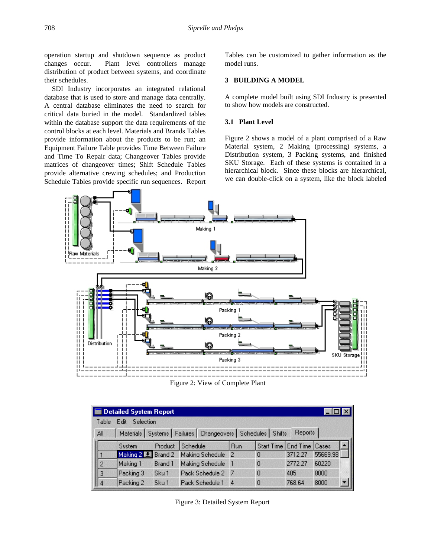operation startup and shutdown sequence as product changes occur. Plant level controllers manage distribution of product between systems, and coordinate their schedules.

SDI Industry incorporates an integrated relational database that is used to store and manage data centrally. A central database eliminates the need to search for critical data buried in the model. Standardized tables within the database support the data requirements of the control blocks at each level. Materials and Brands Tables provide information about the products to be run; an Equipment Failure Table provides Time Between Failure and Time To Repair data; Changeover Tables provide matrices of changeover times; Shift Schedule Tables provide alternative crewing schedules; and Production Schedule Tables provide specific run sequences. Report Tables can be customized to gather information as the model runs.

## **3 BUILDING A MODEL**

A complete model built using SDI Industry is presented to show how models are constructed.

#### **3.1 Plant Level**

Figure 2 shows a model of a plant comprised of a Raw Material system, 2 Making (processing) systems, a Distribution system, 3 Packing systems, and finished SKU Storage. Each of these systems is contained in a hierarchical block. Since these blocks are hierarchical, we can double-click on a system, like the block labeled



Figure 2: View of Complete Plant

| <b>Detailed System Report</b>                                                       |                            |                    |         |                 |                |                               |         |          |  |  |
|-------------------------------------------------------------------------------------|----------------------------|--------------------|---------|-----------------|----------------|-------------------------------|---------|----------|--|--|
|                                                                                     | Selection<br>Table<br>Edit |                    |         |                 |                |                               |         |          |  |  |
| Materials   Systems   Failures   Changeovers   Schedules   Shifts<br>Reports<br>All |                            |                    |         |                 |                |                               |         |          |  |  |
|                                                                                     |                            | <b>System</b>      | Product | Schedule        | Run            | Start Time   End Time   Cases |         |          |  |  |
|                                                                                     |                            | Making 2 L Brand 2 |         | Making Schedule | 2              | 0                             | 3712.27 | 55669.98 |  |  |
|                                                                                     | $\overline{c}$             | Making 1           | Brand 1 | Making Schedule | $\blacksquare$ | 0                             | 2772.27 | 60220    |  |  |
|                                                                                     | 3                          | Packing 3          | Sku1    | Pack Schedule 2 | -7             | 0                             | 405     | 8000     |  |  |
|                                                                                     | 14                         | Packing 2          | Sku1    | Pack Schedule 1 | $\overline{4}$ | 0                             | 768.64  | 8000     |  |  |

Figure 3: Detailed System Report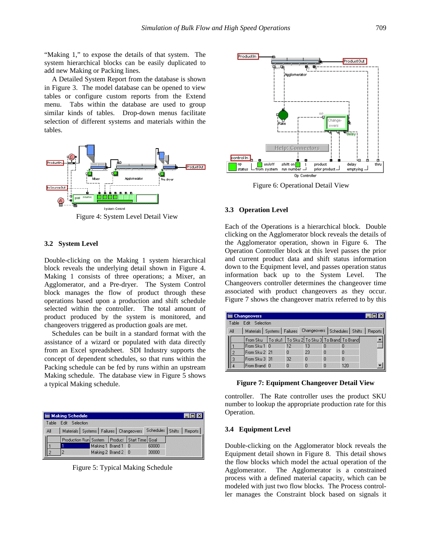"Making 1," to expose the details of that system. The system hierarchical blocks can be easily duplicated to add new Making or Packing lines.

A Detailed System Report from the database is shown in Figure 3. The model database can be opened to view tables or configure custom reports from the Extend menu. Tabs within the database are used to group similar kinds of tables. Drop-down menus facilitate selection of different systems and materials within the tables.



Figure 4: System Level Detail View

### **3.2 System Level**

Double-clicking on the Making 1 system hierarchical block reveals the underlying detail shown in Figure 4. Making 1 consists of three operations; a Mixer, an Agglomerator, and a Pre-dryer. The System Control block manages the flow of product through these operations based upon a production and shift schedule selected within the controller. The total amount of product produced by the system is monitored, and changeovers triggered as production goals are met.

Schedules can be built in a standard format with the assistance of a wizard or populated with data directly from an Excel spreadsheet. SDI Industry supports the concept of dependent schedules, so that runs within the Packing schedule can be fed by runs within an upstream Making schedule. The database view in Figure 5 shows a typical Making schedule.

|       | <b>Making Schedule</b>                                                      |  |                    |  |       |  |  |  |  |  |
|-------|-----------------------------------------------------------------------------|--|--------------------|--|-------|--|--|--|--|--|
| Table | F dit<br>Selection                                                          |  |                    |  |       |  |  |  |  |  |
| All   | Materials   Systems   Failures   Changeovers   Schedules   Shifts   Reports |  |                    |  |       |  |  |  |  |  |
|       | Production Run System   Product   Start Time   Goal                         |  |                    |  |       |  |  |  |  |  |
|       |                                                                             |  | Making 1 Brand 1 0 |  | 60000 |  |  |  |  |  |
|       |                                                                             |  | Making 2 Brand 2 0 |  | 30000 |  |  |  |  |  |

Figure 5: Typical Making Schedule



Figure 6: Operational Detail View

#### **3.3 Operation Level**

Each of the Operations is a hierarchical block. Double clicking on the Agglomerator block reveals the details of the Agglomerator operation, shown in Figure 6. The Operation Controller block at this level passes the prior and current product data and shift status information down to the Equipment level, and passes operation status information back up to the System Level. The Changeovers controller determines the changeover time associated with product changeovers as they occur. Figure 7 shows the changeover matrix referred to by this

| <b>Exercise Changeovers</b> |                         |                                                                |  |          |          |          |             |                                                                           |  |
|-----------------------------|-------------------------|----------------------------------------------------------------|--|----------|----------|----------|-------------|---------------------------------------------------------------------------|--|
|                             | Edit Selection<br>Table |                                                                |  |          |          |          |             |                                                                           |  |
|                             | All                     |                                                                |  |          |          |          |             | Materials   Systems   Failures Changeovers   Schedules   Shifts   Reports |  |
|                             |                         | From Sku   To sku1   To Sku 2   To Sku 3   To Brand   To Brand |  |          |          |          |             |                                                                           |  |
|                             |                         | From Sku 1 0                                                   |  | 12       | 13       | п        | n           |                                                                           |  |
|                             |                         | From Sku 2 21                                                  |  | $\Omega$ | 23       | $\Omega$ | $\Omega$    |                                                                           |  |
|                             | $\overline{3}$          | From Sku 3 31                                                  |  | 32       | $\Omega$ | $\Omega$ | $\mathbf 0$ |                                                                           |  |
|                             |                         | From Brand 0                                                   |  | $\Omega$ | n        | 0        | 120         |                                                                           |  |

**Figure 7: Equipment Changeover Detail View**

controller. The Rate controller uses the product SKU number to lookup the appropriate production rate for this Operation.

#### **3.4 Equipment Level**

Double-clicking on the Agglomerator block reveals the Equipment detail shown in Figure 8. This detail shows the flow blocks which model the actual operation of the Agglomerator. The Agglomerator is a constrained process with a defined material capacity, which can be modeled with just two flow blocks. The Process controller manages the Constraint block based on signals it